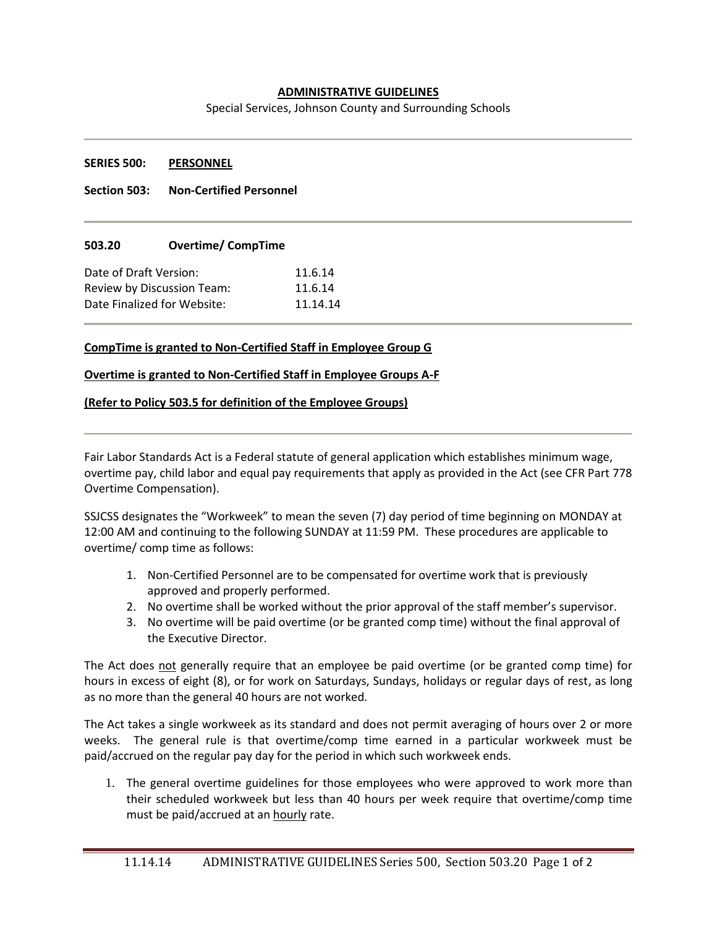# **ADMINISTRATIVE GUIDELINES**

Special Services, Johnson County and Surrounding Schools

#### **SERIES 500: PERSONNEL**

**Section 503: Non-Certified Personnel**

## **503.20 Overtime/ CompTime**

| Date of Draft Version:      | 11.6.14  |
|-----------------------------|----------|
| Review by Discussion Team:  | 11.6.14  |
| Date Finalized for Website: | 11.14.14 |

## **CompTime is granted to Non-Certified Staff in Employee Group G**

#### **Overtime is granted to Non-Certified Staff in Employee Groups A-F**

## **(Refer to Policy 503.5 for definition of the Employee Groups)**

Fair Labor Standards Act is a Federal statute of general application which establishes minimum wage, overtime pay, child labor and equal pay requirements that apply as provided in the Act (see CFR Part 778 Overtime Compensation).

SSJCSS designates the "Workweek" to mean the seven (7) day period of time beginning on MONDAY at 12:00 AM and continuing to the following SUNDAY at 11:59 PM. These procedures are applicable to overtime/ comp time as follows:

- 1. Non-Certified Personnel are to be compensated for overtime work that is previously approved and properly performed.
- 2. No overtime shall be worked without the prior approval of the staff member's supervisor.
- 3. No overtime will be paid overtime (or be granted comp time) without the final approval of the Executive Director.

The Act does not generally require that an employee be paid overtime (or be granted comp time) for hours in excess of eight (8), or for work on Saturdays, Sundays, holidays or regular days of rest, as long as no more than the general 40 hours are not worked.

The Act takes a single workweek as its standard and does not permit averaging of hours over 2 or more weeks. The general rule is that overtime/comp time earned in a particular workweek must be paid/accrued on the regular pay day for the period in which such workweek ends.

1. The general overtime guidelines for those employees who were approved to work more than their scheduled workweek but less than 40 hours per week require that overtime/comp time must be paid/accrued at an hourly rate.